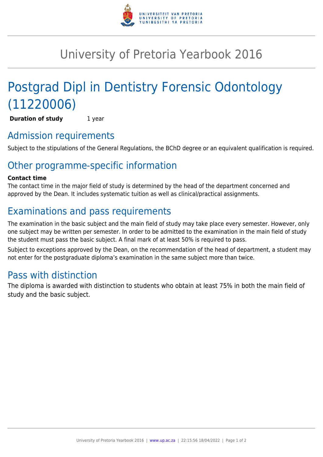

# University of Pretoria Yearbook 2016

# Postgrad Dipl in Dentistry Forensic Odontology (11220006)

**Duration of study** 1 year

### Admission requirements

Subject to the stipulations of the General Regulations, the BChD degree or an equivalent qualification is required.

## Other programme-specific information

#### **Contact time**

The contact time in the major field of study is determined by the head of the department concerned and approved by the Dean. It includes systematic tuition as well as clinical/practical assignments.

## Examinations and pass requirements

The examination in the basic subject and the main field of study may take place every semester. However, only one subject may be written per semester. In order to be admitted to the examination in the main field of study the student must pass the basic subject. A final mark of at least 50% is required to pass.

Subject to exceptions approved by the Dean, on the recommendation of the head of department, a student may not enter for the postgraduate diploma's examination in the same subject more than twice.

### Pass with distinction

The diploma is awarded with distinction to students who obtain at least 75% in both the main field of study and the basic subject.